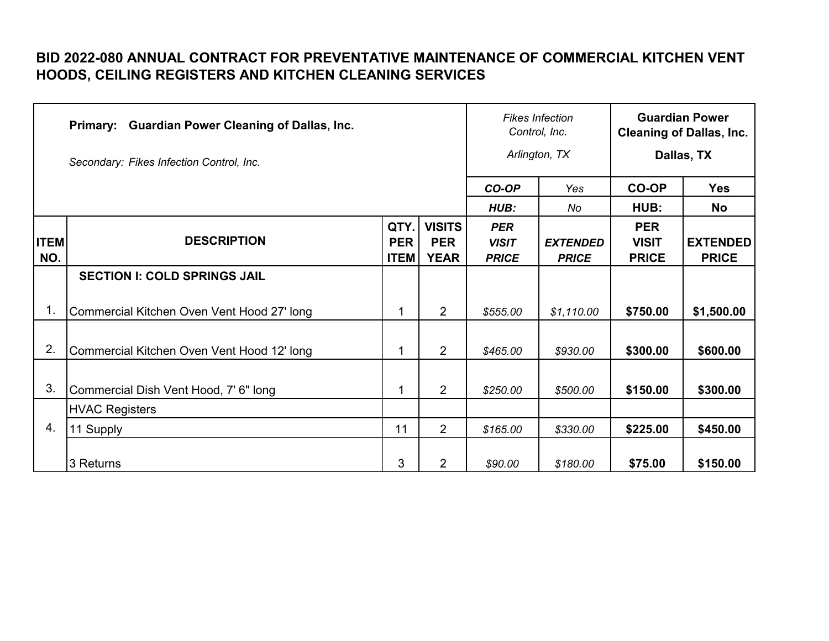## **BID 2022-080 ANNUAL CONTRACT FOR PREVENTATIVE MAINTENANCE OF COMMERCIAL KITCHEN VENT HOODS, CEILING REGISTERS AND KITCHEN CLEANING SERVICES**

|                    | <b>Guardian Power Cleaning of Dallas, Inc.</b><br><b>Primary:</b> |                                   |                                            | <b>Fikes Infection</b><br>Control, Inc.    |                                 |                                            | <b>Guardian Power</b><br><b>Cleaning of Dallas, Inc.</b> |
|--------------------|-------------------------------------------------------------------|-----------------------------------|--------------------------------------------|--------------------------------------------|---------------------------------|--------------------------------------------|----------------------------------------------------------|
|                    | Secondary: Fikes Infection Control, Inc.                          |                                   |                                            |                                            | Arlington, TX                   |                                            | Dallas, TX                                               |
|                    |                                                                   |                                   |                                            | CO-OP                                      | Yes                             | <b>CO-OP</b>                               | <b>Yes</b>                                               |
|                    |                                                                   |                                   |                                            | HUB:                                       | No                              | HUB:                                       | <b>No</b>                                                |
| <b>ITEM</b><br>NO. | <b>DESCRIPTION</b>                                                | QTY.<br><b>PER</b><br><b>ITEM</b> | <b>VISITS</b><br><b>PER</b><br><b>YEAR</b> | <b>PER</b><br><b>VISIT</b><br><b>PRICE</b> | <b>EXTENDED</b><br><b>PRICE</b> | <b>PER</b><br><b>VISIT</b><br><b>PRICE</b> | <b>EXTENDED</b><br><b>PRICE</b>                          |
|                    | <b>SECTION I: COLD SPRINGS JAIL</b>                               |                                   |                                            |                                            |                                 |                                            |                                                          |
| 1.                 | Commercial Kitchen Oven Vent Hood 27' long                        | 1                                 | $\overline{2}$                             | \$555.00                                   | \$1,110.00                      | \$750.00                                   | \$1,500.00                                               |
| 2.                 | Commercial Kitchen Oven Vent Hood 12' long                        | 1                                 | $\overline{2}$                             | \$465.00                                   | \$930.00                        | \$300.00                                   | \$600.00                                                 |
| 3.                 | Commercial Dish Vent Hood, 7' 6" long                             | 1                                 | $\overline{2}$                             | \$250.00                                   | \$500.00                        | \$150.00                                   | \$300.00                                                 |
|                    | <b>HVAC Registers</b>                                             |                                   |                                            |                                            |                                 |                                            |                                                          |
| 4.                 | 11 Supply                                                         | 11                                | 2                                          | \$165.00                                   | \$330.00                        | \$225.00                                   | \$450.00                                                 |
|                    | 3 Returns                                                         | 3                                 | $\overline{2}$                             | \$90.00                                    | \$180.00                        | \$75.00                                    | \$150.00                                                 |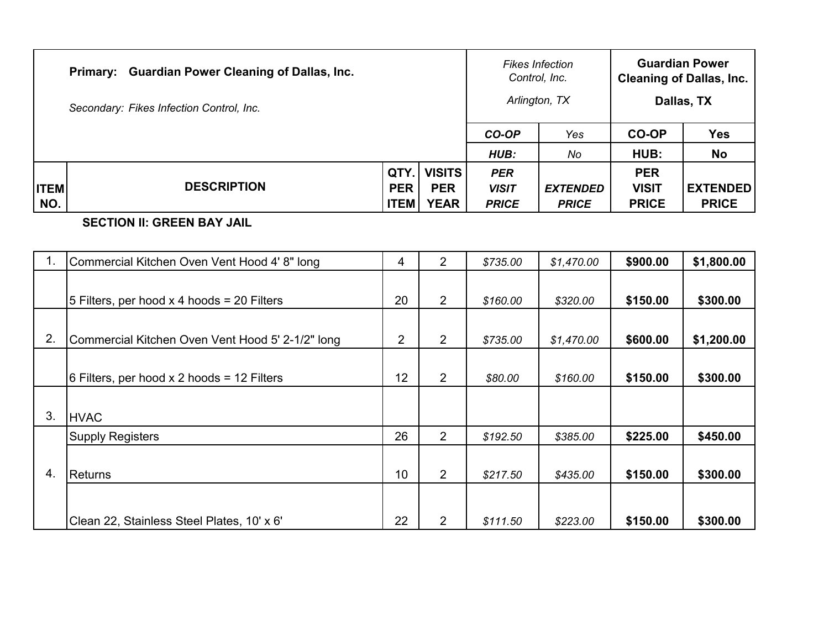|             | Primary: Guardian Power Cleaning of Dallas, Inc.<br>Secondary: Fikes Infection Control, Inc. |             |               |              | <b>Fikes Infection</b><br>Control, Inc.<br>Arlington, TX |              | <b>Guardian Power</b><br><b>Cleaning of Dallas, Inc.</b><br>Dallas, TX |
|-------------|----------------------------------------------------------------------------------------------|-------------|---------------|--------------|----------------------------------------------------------|--------------|------------------------------------------------------------------------|
|             |                                                                                              |             |               | CO-OP        | Yes                                                      | CO-OP        | <b>Yes</b>                                                             |
|             |                                                                                              |             |               | HUB:         | No                                                       | HUB:         | <b>No</b>                                                              |
|             |                                                                                              | QTY.        | <b>VISITS</b> | <b>PER</b>   |                                                          | <b>PER</b>   |                                                                        |
| <b>ITEM</b> | <b>DESCRIPTION</b>                                                                           | <b>PER</b>  | <b>PER</b>    | <b>VISIT</b> | <b>EXTENDED</b>                                          | <b>VISIT</b> | <b>EXTENDED</b>                                                        |
| NO.         |                                                                                              | <b>ITEM</b> | <b>YEAR</b>   | <b>PRICE</b> | <b>PRICE</b>                                             | <b>PRICE</b> | <b>PRICE</b>                                                           |

**SECTION II: GREEN BAY JAIL**

| $\mathbf 1$ . | Commercial Kitchen Oven Vent Hood 4' 8" long     | 4              | $\overline{2}$ | \$735.00 | \$1,470.00 | \$900.00 | \$1,800.00 |
|---------------|--------------------------------------------------|----------------|----------------|----------|------------|----------|------------|
|               |                                                  |                |                |          |            |          |            |
|               | 5 Filters, per hood x 4 hoods = 20 Filters       | 20             | $\overline{2}$ | \$160.00 | \$320.00   | \$150.00 | \$300.00   |
|               |                                                  |                |                |          |            |          |            |
| 2.            | Commercial Kitchen Oven Vent Hood 5' 2-1/2" long | $\overline{2}$ | $\overline{2}$ | \$735.00 | \$1,470.00 | \$600.00 | \$1,200.00 |
|               |                                                  |                |                |          |            |          |            |
|               | 6 Filters, per hood $x$ 2 hoods = 12 Filters     | 12             | $\overline{2}$ | \$80.00  | \$160.00   | \$150.00 | \$300.00   |
|               |                                                  |                |                |          |            |          |            |
| 3.            | <b>HVAC</b>                                      |                |                |          |            |          |            |
|               | <b>Supply Registers</b>                          | 26             | $\overline{2}$ | \$192.50 | \$385.00   | \$225.00 | \$450.00   |
|               |                                                  |                |                |          |            |          |            |
| 4.            | <b>Returns</b>                                   | 10             | 2              | \$217.50 | \$435.00   | \$150.00 | \$300.00   |
|               |                                                  |                |                |          |            |          |            |
|               | Clean 22, Stainless Steel Plates, 10' x 6'       | 22             | $\overline{2}$ | \$111.50 | \$223.00   | \$150.00 | \$300.00   |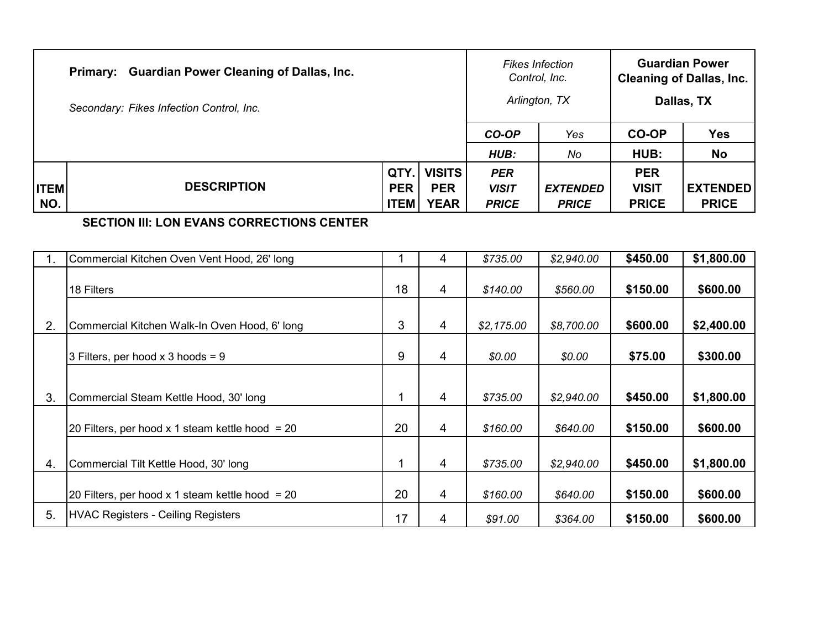|             | Primary: Guardian Power Cleaning of Dallas, Inc. |             |               | Control, Inc. | <b>Fikes Infection</b><br>Arlington, TX |              | <b>Guardian Power</b><br><b>Cleaning of Dallas, Inc.</b><br>Dallas, TX |
|-------------|--------------------------------------------------|-------------|---------------|---------------|-----------------------------------------|--------------|------------------------------------------------------------------------|
|             | Secondary: Fikes Infection Control, Inc.         |             |               |               |                                         |              |                                                                        |
|             |                                                  |             |               | CO-OP         | Yes                                     | <b>CO-OP</b> | <b>Yes</b>                                                             |
|             |                                                  |             |               | HUB:          | No                                      | HUB:         | No                                                                     |
|             |                                                  | QTY.        | <b>VISITS</b> | <b>PER</b>    |                                         | <b>PER</b>   |                                                                        |
| <b>ITEM</b> | <b>DESCRIPTION</b>                               | <b>PER</b>  | <b>PER</b>    | <b>VISIT</b>  | <b>EXTENDED</b>                         | <b>VISIT</b> | <b>EXTENDED</b>                                                        |
| NO.         |                                                  | <b>ITEM</b> | <b>YEAR</b>   | <b>PRICE</b>  | <b>PRICE</b>                            | <b>PRICE</b> | <b>PRICE</b>                                                           |

## **SECTION III: LON EVANS CORRECTIONS CENTER**

|    | Commercial Kitchen Oven Vent Hood, 26' long       |    | 4 | \$735.00   | \$2,940.00 | \$450.00 | \$1,800.00 |
|----|---------------------------------------------------|----|---|------------|------------|----------|------------|
|    | 18 Filters                                        | 18 | 4 | \$140.00   | \$560.00   | \$150.00 | \$600.00   |
| 2. | Commercial Kitchen Walk-In Oven Hood, 6' long     | 3  | 4 | \$2,175.00 | \$8,700.00 | \$600.00 | \$2,400.00 |
|    | 3 Filters, per hood x 3 hoods = 9                 | 9  | 4 | \$0.00     | \$0.00     | \$75.00  | \$300.00   |
| 3. | Commercial Steam Kettle Hood, 30' long            |    | 4 | \$735.00   | \$2,940.00 | \$450.00 | \$1,800.00 |
|    | 20 Filters, per hood x 1 steam kettle hood = $20$ | 20 | 4 | \$160.00   | \$640.00   | \$150.00 | \$600.00   |
| 4. | Commercial Tilt Kettle Hood, 30' long             | 1  | 4 | \$735.00   | \$2,940.00 | \$450.00 | \$1,800.00 |
|    | 20 Filters, per hood x 1 steam kettle hood $=$ 20 | 20 | 4 | \$160.00   | \$640.00   | \$150.00 | \$600.00   |
| 5. | <b>HVAC Registers - Ceiling Registers</b>         | 17 | 4 | \$91.00    | \$364.00   | \$150.00 | \$600.00   |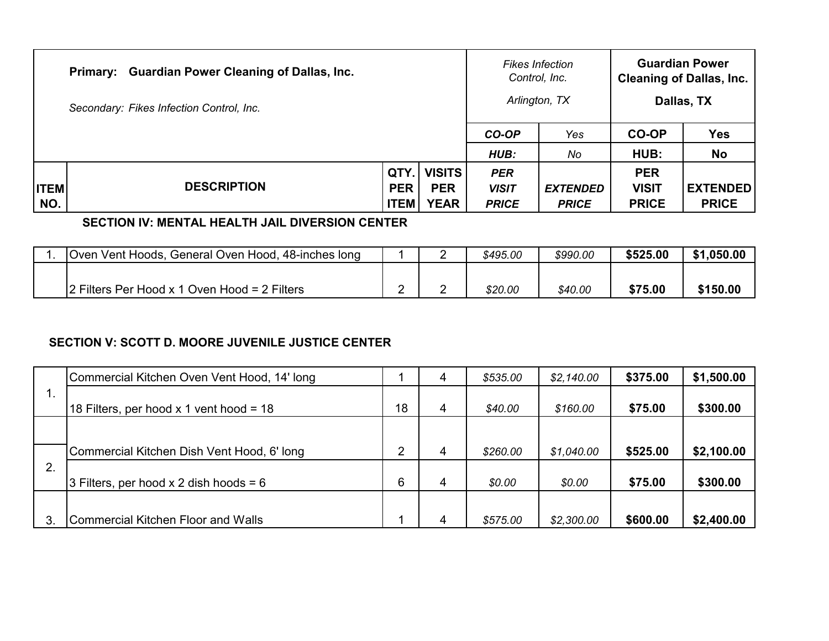|             | Primary: Guardian Power Cleaning of Dallas, Inc.<br>Secondary: Fikes Infection Control, Inc. |             |               | Control, Inc. | <b>Fikes Infection</b><br>Arlington, TX |              | <b>Guardian Power</b><br><b>Cleaning of Dallas, Inc.</b><br>Dallas, TX |
|-------------|----------------------------------------------------------------------------------------------|-------------|---------------|---------------|-----------------------------------------|--------------|------------------------------------------------------------------------|
|             |                                                                                              |             |               | CO-OP         | Yes                                     | <b>CO-OP</b> | <b>Yes</b>                                                             |
|             |                                                                                              |             |               | HUB:          | No                                      | HUB:         | <b>No</b>                                                              |
|             |                                                                                              | QTY.        | <b>VISITS</b> | <b>PER</b>    |                                         | <b>PER</b>   |                                                                        |
| <b>ITEM</b> | <b>DESCRIPTION</b>                                                                           | <b>PER</b>  | <b>PER</b>    | <b>VISIT</b>  | <b>EXTENDED</b>                         | <b>VISIT</b> | <b>EXTENDED</b>                                                        |
| NO.         |                                                                                              | <b>ITEM</b> | <b>YEAR</b>   | <b>PRICE</b>  | <b>PRICE</b>                            | <b>PRICE</b> | <b>PRICE</b>                                                           |

## **SECTION IV: MENTAL HEALTH JAIL DIVERSION CENTER**

| Oven Vent Hoods, General Oven Hood, 48-inches long |  | \$495.00 | \$990.00 | \$525.00 | \$1,050.00 |
|----------------------------------------------------|--|----------|----------|----------|------------|
|                                                    |  |          |          |          |            |
| $ 2$ Filters Per Hood x 1 Oven Hood = 2 Filters    |  | \$20.00  | \$40.00  | \$75.00  | \$150.00   |

## **SECTION V: SCOTT D. MOORE JUVENILE JUSTICE CENTER**

|             | Commercial Kitchen Oven Vent Hood, 14' long |    | 4 | \$535.00 | \$2,140.00 | \$375.00 | \$1,500.00 |
|-------------|---------------------------------------------|----|---|----------|------------|----------|------------|
| $1_{\cdot}$ | 18 Filters, per hood x 1 vent hood = 18     | 18 | 4 | \$40.00  | \$160.00   | \$75.00  | \$300.00   |
|             |                                             |    |   |          |            |          |            |
|             | Commercial Kitchen Dish Vent Hood, 6' long  | ⌒  | 4 | \$260.00 | \$1,040.00 | \$525.00 | \$2,100.00 |
| 2.          | 3 Filters, per hood x 2 dish hoods = $6$    | 6  | 4 | \$0.00   | \$0.00     | \$75.00  | \$300.00   |
|             |                                             |    |   |          |            |          |            |
| 3           | <b>Commercial Kitchen Floor and Walls</b>   |    | 4 | \$575.00 | \$2,300.00 | \$600.00 | \$2,400.00 |